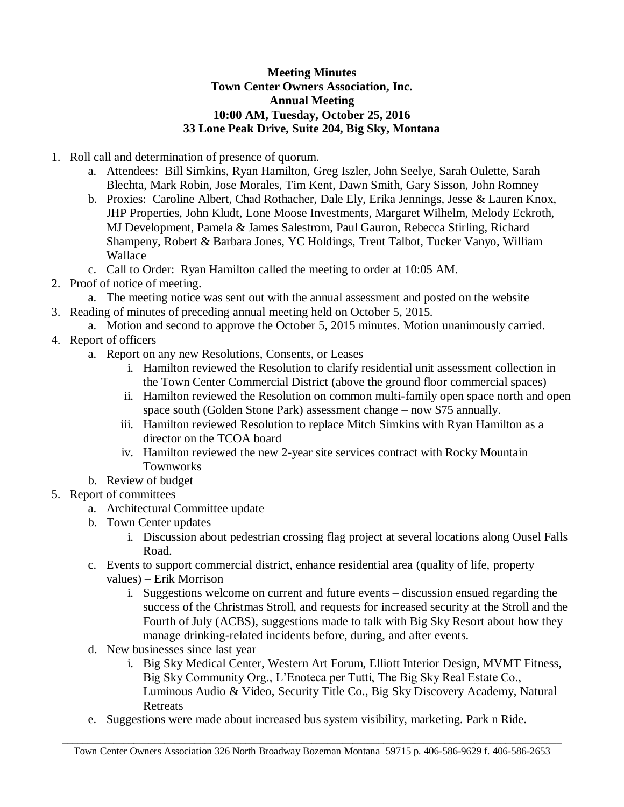## **Meeting Minutes Town Center Owners Association, Inc. Annual Meeting 10:00 AM, Tuesday, October 25, 2016 33 Lone Peak Drive, Suite 204, Big Sky, Montana**

- 1. Roll call and determination of presence of quorum.
	- a. Attendees: Bill Simkins, Ryan Hamilton, Greg Iszler, John Seelye, Sarah Oulette, Sarah Blechta, Mark Robin, Jose Morales, Tim Kent, Dawn Smith, Gary Sisson, John Romney
	- b. Proxies: Caroline Albert, Chad Rothacher, Dale Ely, Erika Jennings, Jesse & Lauren Knox, JHP Properties, John Kludt, Lone Moose Investments, Margaret Wilhelm, Melody Eckroth, MJ Development, Pamela & James Salestrom, Paul Gauron, Rebecca Stirling, Richard Shampeny, Robert & Barbara Jones, YC Holdings, Trent Talbot, Tucker Vanyo, William Wallace
	- c. Call to Order: Ryan Hamilton called the meeting to order at 10:05 AM.
- 2. Proof of notice of meeting.
	- a. The meeting notice was sent out with the annual assessment and posted on the website
- 3. Reading of minutes of preceding annual meeting held on October 5, 2015.
	- a. Motion and second to approve the October 5, 2015 minutes. Motion unanimously carried.
- 4. Report of officers
	- a. Report on any new Resolutions, Consents, or Leases
		- i. Hamilton reviewed the Resolution to clarify residential unit assessment collection in the Town Center Commercial District (above the ground floor commercial spaces)
		- ii. Hamilton reviewed the Resolution on common multi-family open space north and open space south (Golden Stone Park) assessment change – now \$75 annually.
		- iii. Hamilton reviewed Resolution to replace Mitch Simkins with Ryan Hamilton as a director on the TCOA board
		- iv. Hamilton reviewed the new 2-year site services contract with Rocky Mountain Townworks
	- b. Review of budget
- 5. Report of committees
	- a. Architectural Committee update
	- b. Town Center updates
		- i. Discussion about pedestrian crossing flag project at several locations along Ousel Falls Road.
	- c. Events to support commercial district, enhance residential area (quality of life, property values) – Erik Morrison
		- i. Suggestions welcome on current and future events discussion ensued regarding the success of the Christmas Stroll, and requests for increased security at the Stroll and the Fourth of July (ACBS), suggestions made to talk with Big Sky Resort about how they manage drinking-related incidents before, during, and after events.
	- d. New businesses since last year
		- i. Big Sky Medical Center, Western Art Forum, Elliott Interior Design, MVMT Fitness, Big Sky Community Org., L'Enoteca per Tutti, The Big Sky Real Estate Co., Luminous Audio & Video, Security Title Co., Big Sky Discovery Academy, Natural **Retreats**
	- e. Suggestions were made about increased bus system visibility, marketing. Park n Ride.